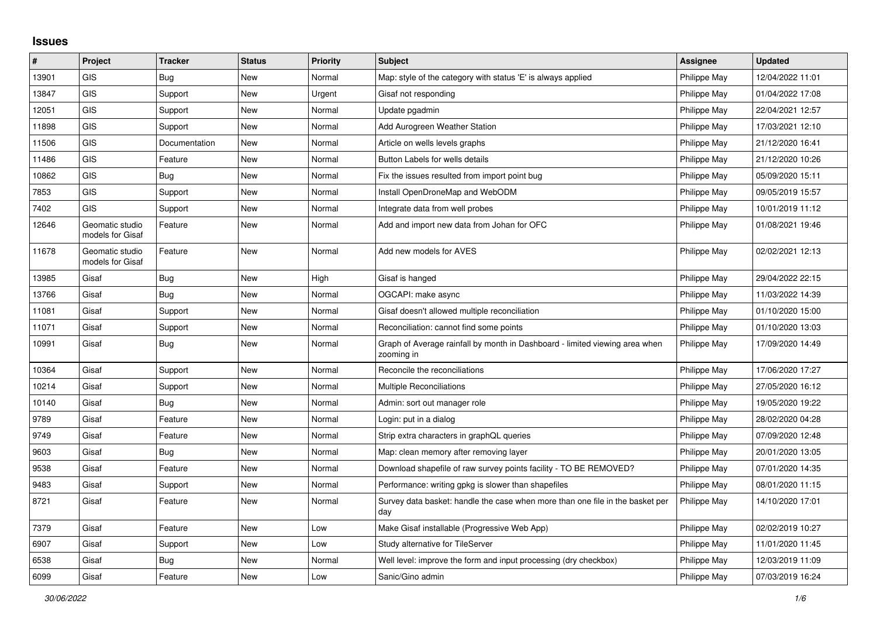## **Issues**

| #     | Project                             | <b>Tracker</b> | <b>Status</b> | <b>Priority</b> | <b>Subject</b>                                                                            | Assignee     | <b>Updated</b>   |
|-------|-------------------------------------|----------------|---------------|-----------------|-------------------------------------------------------------------------------------------|--------------|------------------|
| 13901 | GIS                                 | Bug            | New           | Normal          | Map: style of the category with status 'E' is always applied                              | Philippe May | 12/04/2022 11:01 |
| 13847 | GIS                                 | Support        | New           | Urgent          | Gisaf not responding                                                                      | Philippe May | 01/04/2022 17:08 |
| 12051 | GIS                                 | Support        | New           | Normal          | Update pgadmin                                                                            | Philippe May | 22/04/2021 12:57 |
| 11898 | GIS                                 | Support        | <b>New</b>    | Normal          | Add Aurogreen Weather Station                                                             | Philippe May | 17/03/2021 12:10 |
| 11506 | GIS                                 | Documentation  | New           | Normal          | Article on wells levels graphs                                                            | Philippe May | 21/12/2020 16:41 |
| 11486 | <b>GIS</b>                          | Feature        | New           | Normal          | Button Labels for wells details                                                           | Philippe May | 21/12/2020 10:26 |
| 10862 | <b>GIS</b>                          | <b>Bug</b>     | New           | Normal          | Fix the issues resulted from import point bug                                             | Philippe May | 05/09/2020 15:11 |
| 7853  | <b>GIS</b>                          | Support        | New           | Normal          | Install OpenDroneMap and WebODM                                                           | Philippe May | 09/05/2019 15:57 |
| 7402  | <b>GIS</b>                          | Support        | New           | Normal          | Integrate data from well probes                                                           | Philippe May | 10/01/2019 11:12 |
| 12646 | Geomatic studio<br>models for Gisaf | Feature        | New           | Normal          | Add and import new data from Johan for OFC                                                | Philippe May | 01/08/2021 19:46 |
| 11678 | Geomatic studio<br>models for Gisaf | Feature        | New           | Normal          | Add new models for AVES                                                                   | Philippe May | 02/02/2021 12:13 |
| 13985 | Gisaf                               | Bug            | New           | High            | Gisaf is hanged                                                                           | Philippe May | 29/04/2022 22:15 |
| 13766 | Gisaf                               | <b>Bug</b>     | New           | Normal          | OGCAPI: make async                                                                        | Philippe May | 11/03/2022 14:39 |
| 11081 | Gisaf                               | Support        | New           | Normal          | Gisaf doesn't allowed multiple reconciliation                                             | Philippe May | 01/10/2020 15:00 |
| 11071 | Gisaf                               | Support        | New           | Normal          | Reconciliation: cannot find some points                                                   | Philippe May | 01/10/2020 13:03 |
| 10991 | Gisaf                               | <b>Bug</b>     | New           | Normal          | Graph of Average rainfall by month in Dashboard - limited viewing area when<br>zooming in | Philippe May | 17/09/2020 14:49 |
| 10364 | Gisaf                               | Support        | New           | Normal          | Reconcile the reconciliations                                                             | Philippe May | 17/06/2020 17:27 |
| 10214 | Gisaf                               | Support        | New           | Normal          | <b>Multiple Reconciliations</b>                                                           | Philippe May | 27/05/2020 16:12 |
| 10140 | Gisaf                               | <b>Bug</b>     | <b>New</b>    | Normal          | Admin: sort out manager role                                                              | Philippe May | 19/05/2020 19:22 |
| 9789  | Gisaf                               | Feature        | New           | Normal          | Login: put in a dialog                                                                    | Philippe May | 28/02/2020 04:28 |
| 9749  | Gisaf                               | Feature        | New           | Normal          | Strip extra characters in graphQL queries                                                 | Philippe May | 07/09/2020 12:48 |
| 9603  | Gisaf                               | Bug            | <b>New</b>    | Normal          | Map: clean memory after removing layer                                                    | Philippe May | 20/01/2020 13:05 |
| 9538  | Gisaf                               | Feature        | New           | Normal          | Download shapefile of raw survey points facility - TO BE REMOVED?                         | Philippe May | 07/01/2020 14:35 |
| 9483  | Gisaf                               | Support        | New           | Normal          | Performance: writing gpkg is slower than shapefiles                                       | Philippe May | 08/01/2020 11:15 |
| 8721  | Gisaf                               | Feature        | New           | Normal          | Survey data basket: handle the case when more than one file in the basket per<br>day      | Philippe May | 14/10/2020 17:01 |
| 7379  | Gisaf                               | Feature        | New           | Low             | Make Gisaf installable (Progressive Web App)                                              | Philippe May | 02/02/2019 10:27 |
| 6907  | Gisaf                               | Support        | <b>New</b>    | Low             | Study alternative for TileServer                                                          | Philippe May | 11/01/2020 11:45 |
| 6538  | Gisaf                               | <b>Bug</b>     | New           | Normal          | Well level: improve the form and input processing (dry checkbox)                          | Philippe May | 12/03/2019 11:09 |
| 6099  | Gisaf                               | Feature        | New           | Low             | Sanic/Gino admin                                                                          | Philippe May | 07/03/2019 16:24 |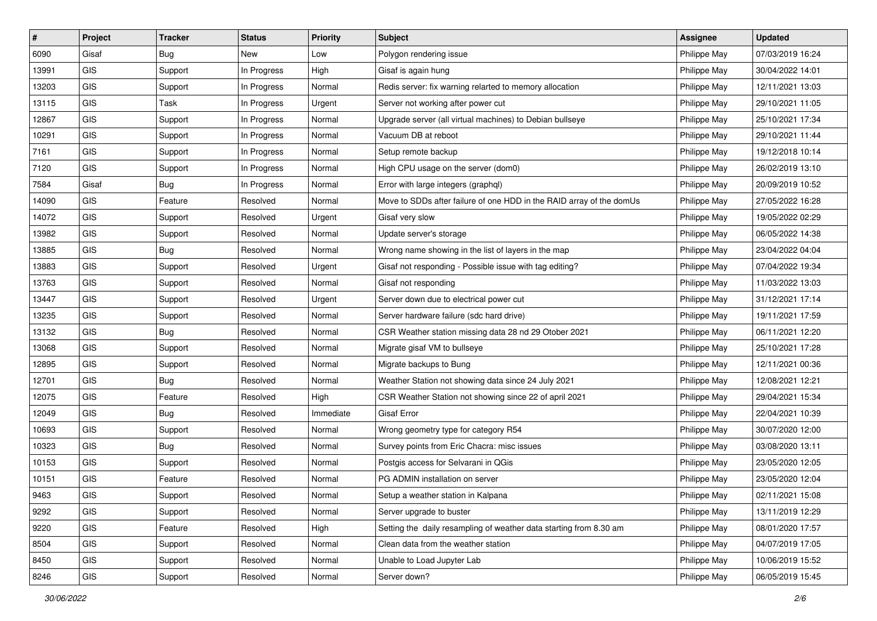| #     | Project    | <b>Tracker</b> | <b>Status</b> | <b>Priority</b> | <b>Subject</b>                                                       | <b>Assignee</b> | <b>Updated</b>   |
|-------|------------|----------------|---------------|-----------------|----------------------------------------------------------------------|-----------------|------------------|
| 6090  | Gisaf      | <b>Bug</b>     | New           | Low             | Polygon rendering issue                                              | Philippe May    | 07/03/2019 16:24 |
| 13991 | GIS        | Support        | In Progress   | High            | Gisaf is again hung                                                  | Philippe May    | 30/04/2022 14:01 |
| 13203 | <b>GIS</b> | Support        | In Progress   | Normal          | Redis server: fix warning relarted to memory allocation              | Philippe May    | 12/11/2021 13:03 |
| 13115 | GIS        | Task           | In Progress   | Urgent          | Server not working after power cut                                   | Philippe May    | 29/10/2021 11:05 |
| 12867 | GIS        | Support        | In Progress   | Normal          | Upgrade server (all virtual machines) to Debian bullseye             | Philippe May    | 25/10/2021 17:34 |
| 10291 | GIS        | Support        | In Progress   | Normal          | Vacuum DB at reboot                                                  | Philippe May    | 29/10/2021 11:44 |
| 7161  | GIS        | Support        | In Progress   | Normal          | Setup remote backup                                                  | Philippe May    | 19/12/2018 10:14 |
| 7120  | GIS        | Support        | In Progress   | Normal          | High CPU usage on the server (dom0)                                  | Philippe May    | 26/02/2019 13:10 |
| 7584  | Gisaf      | <b>Bug</b>     | In Progress   | Normal          | Error with large integers (graphql)                                  | Philippe May    | 20/09/2019 10:52 |
| 14090 | GIS        | Feature        | Resolved      | Normal          | Move to SDDs after failure of one HDD in the RAID array of the domUs | Philippe May    | 27/05/2022 16:28 |
| 14072 | GIS        | Support        | Resolved      | Urgent          | Gisaf very slow                                                      | Philippe May    | 19/05/2022 02:29 |
| 13982 | GIS        | Support        | Resolved      | Normal          | Update server's storage                                              | Philippe May    | 06/05/2022 14:38 |
| 13885 | GIS        | Bug            | Resolved      | Normal          | Wrong name showing in the list of layers in the map                  | Philippe May    | 23/04/2022 04:04 |
| 13883 | GIS        | Support        | Resolved      | Urgent          | Gisaf not responding - Possible issue with tag editing?              | Philippe May    | 07/04/2022 19:34 |
| 13763 | GIS        | Support        | Resolved      | Normal          | Gisaf not responding                                                 | Philippe May    | 11/03/2022 13:03 |
| 13447 | <b>GIS</b> | Support        | Resolved      | Urgent          | Server down due to electrical power cut                              | Philippe May    | 31/12/2021 17:14 |
| 13235 | GIS        | Support        | Resolved      | Normal          | Server hardware failure (sdc hard drive)                             | Philippe May    | 19/11/2021 17:59 |
| 13132 | GIS        | Bug            | Resolved      | Normal          | CSR Weather station missing data 28 nd 29 Otober 2021                | Philippe May    | 06/11/2021 12:20 |
| 13068 | GIS        | Support        | Resolved      | Normal          | Migrate gisaf VM to bullseye                                         | Philippe May    | 25/10/2021 17:28 |
| 12895 | GIS        | Support        | Resolved      | Normal          | Migrate backups to Bung                                              | Philippe May    | 12/11/2021 00:36 |
| 12701 | GIS        | <b>Bug</b>     | Resolved      | Normal          | Weather Station not showing data since 24 July 2021                  | Philippe May    | 12/08/2021 12:21 |
| 12075 | GIS        | Feature        | Resolved      | High            | CSR Weather Station not showing since 22 of april 2021               | Philippe May    | 29/04/2021 15:34 |
| 12049 | GIS        | <b>Bug</b>     | Resolved      | Immediate       | <b>Gisaf Error</b>                                                   | Philippe May    | 22/04/2021 10:39 |
| 10693 | GIS        | Support        | Resolved      | Normal          | Wrong geometry type for category R54                                 | Philippe May    | 30/07/2020 12:00 |
| 10323 | GIS        | Bug            | Resolved      | Normal          | Survey points from Eric Chacra: misc issues                          | Philippe May    | 03/08/2020 13:11 |
| 10153 | GIS        | Support        | Resolved      | Normal          | Postgis access for Selvarani in QGis                                 | Philippe May    | 23/05/2020 12:05 |
| 10151 | GIS        | Feature        | Resolved      | Normal          | PG ADMIN installation on server                                      | Philippe May    | 23/05/2020 12:04 |
| 9463  | GIS        | Support        | Resolved      | Normal          | Setup a weather station in Kalpana                                   | Philippe May    | 02/11/2021 15:08 |
| 9292  | <b>GIS</b> | Support        | Resolved      | Normal          | Server upgrade to buster                                             | Philippe May    | 13/11/2019 12:29 |
| 9220  | GIS        | Feature        | Resolved      | High            | Setting the daily resampling of weather data starting from 8.30 am   | Philippe May    | 08/01/2020 17:57 |
| 8504  | GIS        | Support        | Resolved      | Normal          | Clean data from the weather station                                  | Philippe May    | 04/07/2019 17:05 |
| 8450  | GIS        | Support        | Resolved      | Normal          | Unable to Load Jupyter Lab                                           | Philippe May    | 10/06/2019 15:52 |
| 8246  | GIS        | Support        | Resolved      | Normal          | Server down?                                                         | Philippe May    | 06/05/2019 15:45 |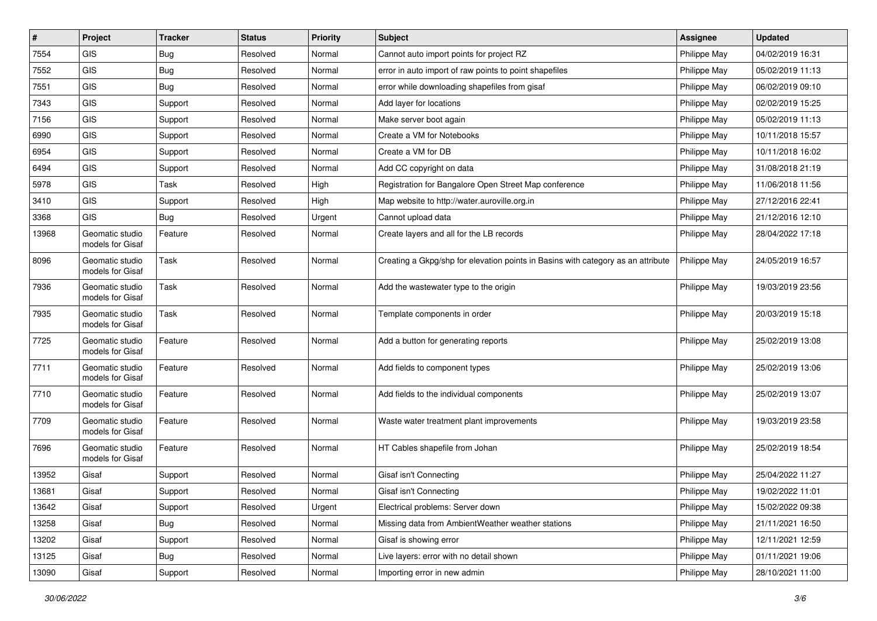| $\vert$ # | Project                             | <b>Tracker</b> | <b>Status</b> | <b>Priority</b> | <b>Subject</b>                                                                   | <b>Assignee</b> | <b>Updated</b>   |
|-----------|-------------------------------------|----------------|---------------|-----------------|----------------------------------------------------------------------------------|-----------------|------------------|
| 7554      | GIS                                 | <b>Bug</b>     | Resolved      | Normal          | Cannot auto import points for project RZ                                         | Philippe May    | 04/02/2019 16:31 |
| 7552      | GIS                                 | Bug            | Resolved      | Normal          | error in auto import of raw points to point shapefiles                           | Philippe May    | 05/02/2019 11:13 |
| 7551      | GIS                                 | Bug            | Resolved      | Normal          | error while downloading shapefiles from gisaf                                    | Philippe May    | 06/02/2019 09:10 |
| 7343      | GIS                                 | Support        | Resolved      | Normal          | Add layer for locations                                                          | Philippe May    | 02/02/2019 15:25 |
| 7156      | GIS                                 | Support        | Resolved      | Normal          | Make server boot again                                                           | Philippe May    | 05/02/2019 11:13 |
| 6990      | GIS                                 | Support        | Resolved      | Normal          | Create a VM for Notebooks                                                        | Philippe May    | 10/11/2018 15:57 |
| 6954      | GIS                                 | Support        | Resolved      | Normal          | Create a VM for DB                                                               | Philippe May    | 10/11/2018 16:02 |
| 6494      | GIS                                 | Support        | Resolved      | Normal          | Add CC copyright on data                                                         | Philippe May    | 31/08/2018 21:19 |
| 5978      | GIS                                 | Task           | Resolved      | High            | Registration for Bangalore Open Street Map conference                            | Philippe May    | 11/06/2018 11:56 |
| 3410      | GIS                                 | Support        | Resolved      | High            | Map website to http://water.auroville.org.in                                     | Philippe May    | 27/12/2016 22:41 |
| 3368      | <b>GIS</b>                          | Bug            | Resolved      | Urgent          | Cannot upload data                                                               | Philippe May    | 21/12/2016 12:10 |
| 13968     | Geomatic studio<br>models for Gisaf | Feature        | Resolved      | Normal          | Create layers and all for the LB records                                         | Philippe May    | 28/04/2022 17:18 |
| 8096      | Geomatic studio<br>models for Gisaf | Task           | Resolved      | Normal          | Creating a Gkpg/shp for elevation points in Basins with category as an attribute | Philippe May    | 24/05/2019 16:57 |
| 7936      | Geomatic studio<br>models for Gisaf | Task           | Resolved      | Normal          | Add the wastewater type to the origin                                            | Philippe May    | 19/03/2019 23:56 |
| 7935      | Geomatic studio<br>models for Gisaf | Task           | Resolved      | Normal          | Template components in order                                                     | Philippe May    | 20/03/2019 15:18 |
| 7725      | Geomatic studio<br>models for Gisaf | Feature        | Resolved      | Normal          | Add a button for generating reports                                              | Philippe May    | 25/02/2019 13:08 |
| 7711      | Geomatic studio<br>models for Gisaf | Feature        | Resolved      | Normal          | Add fields to component types                                                    | Philippe May    | 25/02/2019 13:06 |
| 7710      | Geomatic studio<br>models for Gisaf | Feature        | Resolved      | Normal          | Add fields to the individual components                                          | Philippe May    | 25/02/2019 13:07 |
| 7709      | Geomatic studio<br>models for Gisaf | Feature        | Resolved      | Normal          | Waste water treatment plant improvements                                         | Philippe May    | 19/03/2019 23:58 |
| 7696      | Geomatic studio<br>models for Gisaf | Feature        | Resolved      | Normal          | HT Cables shapefile from Johan                                                   | Philippe May    | 25/02/2019 18:54 |
| 13952     | Gisaf                               | Support        | Resolved      | Normal          | Gisaf isn't Connecting                                                           | Philippe May    | 25/04/2022 11:27 |
| 13681     | Gisaf                               | Support        | Resolved      | Normal          | Gisaf isn't Connecting                                                           | Philippe May    | 19/02/2022 11:01 |
| 13642     | Gisaf                               | Support        | Resolved      | Urgent          | Electrical problems: Server down                                                 | Philippe May    | 15/02/2022 09:38 |
| 13258     | Gisaf                               | <b>Bug</b>     | Resolved      | Normal          | Missing data from AmbientWeather weather stations                                | Philippe May    | 21/11/2021 16:50 |
| 13202     | Gisaf                               | Support        | Resolved      | Normal          | Gisaf is showing error                                                           | Philippe May    | 12/11/2021 12:59 |
| 13125     | Gisaf                               | <b>Bug</b>     | Resolved      | Normal          | Live layers: error with no detail shown                                          | Philippe May    | 01/11/2021 19:06 |
| 13090     | Gisaf                               | Support        | Resolved      | Normal          | Importing error in new admin                                                     | Philippe May    | 28/10/2021 11:00 |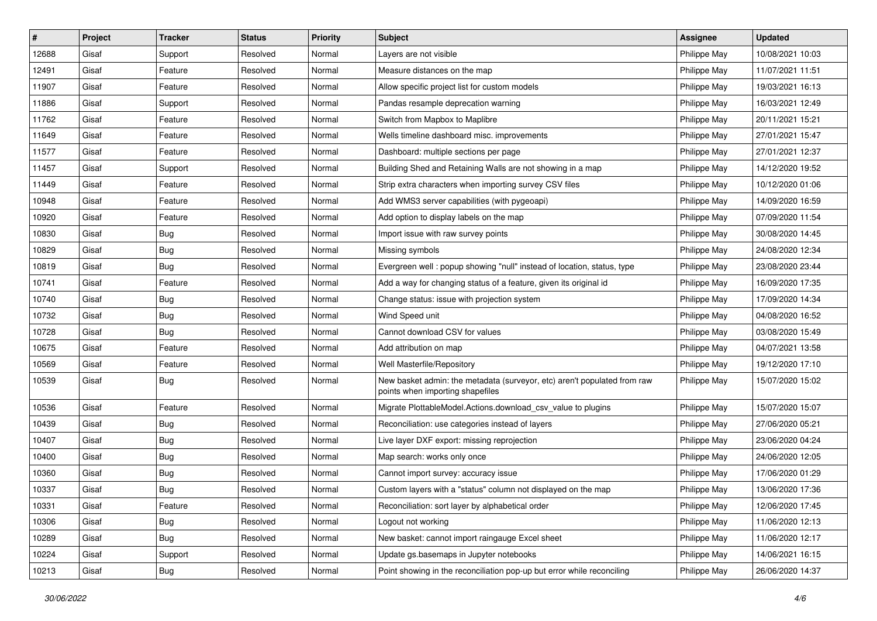| #     | Project | <b>Tracker</b> | <b>Status</b> | <b>Priority</b> | <b>Subject</b>                                                                                               | <b>Assignee</b> | <b>Updated</b>   |
|-------|---------|----------------|---------------|-----------------|--------------------------------------------------------------------------------------------------------------|-----------------|------------------|
| 12688 | Gisaf   | Support        | Resolved      | Normal          | Layers are not visible                                                                                       | Philippe May    | 10/08/2021 10:03 |
| 12491 | Gisaf   | Feature        | Resolved      | Normal          | Measure distances on the map                                                                                 | Philippe May    | 11/07/2021 11:51 |
| 11907 | Gisaf   | Feature        | Resolved      | Normal          | Allow specific project list for custom models                                                                | Philippe May    | 19/03/2021 16:13 |
| 11886 | Gisaf   | Support        | Resolved      | Normal          | Pandas resample deprecation warning                                                                          | Philippe May    | 16/03/2021 12:49 |
| 11762 | Gisaf   | Feature        | Resolved      | Normal          | Switch from Mapbox to Maplibre                                                                               | Philippe May    | 20/11/2021 15:21 |
| 11649 | Gisaf   | Feature        | Resolved      | Normal          | Wells timeline dashboard misc. improvements                                                                  | Philippe May    | 27/01/2021 15:47 |
| 11577 | Gisaf   | Feature        | Resolved      | Normal          | Dashboard: multiple sections per page                                                                        | Philippe May    | 27/01/2021 12:37 |
| 11457 | Gisaf   | Support        | Resolved      | Normal          | Building Shed and Retaining Walls are not showing in a map                                                   | Philippe May    | 14/12/2020 19:52 |
| 11449 | Gisaf   | Feature        | Resolved      | Normal          | Strip extra characters when importing survey CSV files                                                       | Philippe May    | 10/12/2020 01:06 |
| 10948 | Gisaf   | Feature        | Resolved      | Normal          | Add WMS3 server capabilities (with pygeoapi)                                                                 | Philippe May    | 14/09/2020 16:59 |
| 10920 | Gisaf   | Feature        | Resolved      | Normal          | Add option to display labels on the map                                                                      | Philippe May    | 07/09/2020 11:54 |
| 10830 | Gisaf   | Bug            | Resolved      | Normal          | Import issue with raw survey points                                                                          | Philippe May    | 30/08/2020 14:45 |
| 10829 | Gisaf   | <b>Bug</b>     | Resolved      | Normal          | Missing symbols                                                                                              | Philippe May    | 24/08/2020 12:34 |
| 10819 | Gisaf   | <b>Bug</b>     | Resolved      | Normal          | Evergreen well: popup showing "null" instead of location, status, type                                       | Philippe May    | 23/08/2020 23:44 |
| 10741 | Gisaf   | Feature        | Resolved      | Normal          | Add a way for changing status of a feature, given its original id                                            | Philippe May    | 16/09/2020 17:35 |
| 10740 | Gisaf   | Bug            | Resolved      | Normal          | Change status: issue with projection system                                                                  | Philippe May    | 17/09/2020 14:34 |
| 10732 | Gisaf   | <b>Bug</b>     | Resolved      | Normal          | Wind Speed unit                                                                                              | Philippe May    | 04/08/2020 16:52 |
| 10728 | Gisaf   | Bug            | Resolved      | Normal          | Cannot download CSV for values                                                                               | Philippe May    | 03/08/2020 15:49 |
| 10675 | Gisaf   | Feature        | Resolved      | Normal          | Add attribution on map                                                                                       | Philippe May    | 04/07/2021 13:58 |
| 10569 | Gisaf   | Feature        | Resolved      | Normal          | Well Masterfile/Repository                                                                                   | Philippe May    | 19/12/2020 17:10 |
| 10539 | Gisaf   | Bug            | Resolved      | Normal          | New basket admin: the metadata (surveyor, etc) aren't populated from raw<br>points when importing shapefiles | Philippe May    | 15/07/2020 15:02 |
| 10536 | Gisaf   | Feature        | Resolved      | Normal          | Migrate PlottableModel.Actions.download_csv_value to plugins                                                 | Philippe May    | 15/07/2020 15:07 |
| 10439 | Gisaf   | <b>Bug</b>     | Resolved      | Normal          | Reconciliation: use categories instead of layers                                                             | Philippe May    | 27/06/2020 05:21 |
| 10407 | Gisaf   | <b>Bug</b>     | Resolved      | Normal          | Live layer DXF export: missing reprojection                                                                  | Philippe May    | 23/06/2020 04:24 |
| 10400 | Gisaf   | <b>Bug</b>     | Resolved      | Normal          | Map search: works only once                                                                                  | Philippe May    | 24/06/2020 12:05 |
| 10360 | Gisaf   | <b>Bug</b>     | Resolved      | Normal          | Cannot import survey: accuracy issue                                                                         | Philippe May    | 17/06/2020 01:29 |
| 10337 | Gisaf   | Bug            | Resolved      | Normal          | Custom layers with a "status" column not displayed on the map                                                | Philippe May    | 13/06/2020 17:36 |
| 10331 | Gisaf   | Feature        | Resolved      | Normal          | Reconciliation: sort layer by alphabetical order                                                             | Philippe May    | 12/06/2020 17:45 |
| 10306 | Gisaf   | <b>Bug</b>     | Resolved      | Normal          | Logout not working                                                                                           | Philippe May    | 11/06/2020 12:13 |
| 10289 | Gisaf   | <b>Bug</b>     | Resolved      | Normal          | New basket: cannot import raingauge Excel sheet                                                              | Philippe May    | 11/06/2020 12:17 |
| 10224 | Gisaf   | Support        | Resolved      | Normal          | Update gs.basemaps in Jupyter notebooks                                                                      | Philippe May    | 14/06/2021 16:15 |
| 10213 | Gisaf   | <b>Bug</b>     | Resolved      | Normal          | Point showing in the reconciliation pop-up but error while reconciling                                       | Philippe May    | 26/06/2020 14:37 |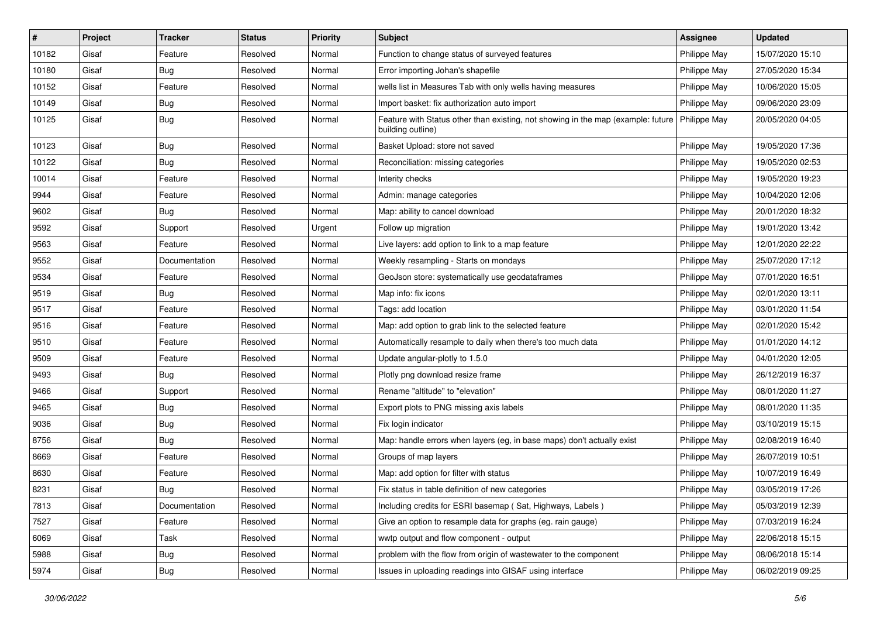| #     | Project | <b>Tracker</b> | <b>Status</b> | <b>Priority</b> | <b>Subject</b>                                                                                                       | <b>Assignee</b> | <b>Updated</b>   |
|-------|---------|----------------|---------------|-----------------|----------------------------------------------------------------------------------------------------------------------|-----------------|------------------|
| 10182 | Gisaf   | Feature        | Resolved      | Normal          | Function to change status of surveyed features                                                                       | Philippe May    | 15/07/2020 15:10 |
| 10180 | Gisaf   | <b>Bug</b>     | Resolved      | Normal          | Error importing Johan's shapefile                                                                                    | Philippe May    | 27/05/2020 15:34 |
| 10152 | Gisaf   | Feature        | Resolved      | Normal          | wells list in Measures Tab with only wells having measures                                                           | Philippe May    | 10/06/2020 15:05 |
| 10149 | Gisaf   | <b>Bug</b>     | Resolved      | Normal          | Import basket: fix authorization auto import                                                                         | Philippe May    | 09/06/2020 23:09 |
| 10125 | Gisaf   | Bug            | Resolved      | Normal          | Feature with Status other than existing, not showing in the map (example: future   Philippe May<br>building outline) |                 | 20/05/2020 04:05 |
| 10123 | Gisaf   | <b>Bug</b>     | Resolved      | Normal          | Basket Upload: store not saved                                                                                       | Philippe May    | 19/05/2020 17:36 |
| 10122 | Gisaf   | Bug            | Resolved      | Normal          | Reconciliation: missing categories                                                                                   | Philippe May    | 19/05/2020 02:53 |
| 10014 | Gisaf   | Feature        | Resolved      | Normal          | Interity checks                                                                                                      | Philippe May    | 19/05/2020 19:23 |
| 9944  | Gisaf   | Feature        | Resolved      | Normal          | Admin: manage categories                                                                                             | Philippe May    | 10/04/2020 12:06 |
| 9602  | Gisaf   | <b>Bug</b>     | Resolved      | Normal          | Map: ability to cancel download                                                                                      | Philippe May    | 20/01/2020 18:32 |
| 9592  | Gisaf   | Support        | Resolved      | Urgent          | Follow up migration                                                                                                  | Philippe May    | 19/01/2020 13:42 |
| 9563  | Gisaf   | Feature        | Resolved      | Normal          | Live layers: add option to link to a map feature                                                                     | Philippe May    | 12/01/2020 22:22 |
| 9552  | Gisaf   | Documentation  | Resolved      | Normal          | Weekly resampling - Starts on mondays                                                                                | Philippe May    | 25/07/2020 17:12 |
| 9534  | Gisaf   | Feature        | Resolved      | Normal          | GeoJson store: systematically use geodataframes                                                                      | Philippe May    | 07/01/2020 16:51 |
| 9519  | Gisaf   | <b>Bug</b>     | Resolved      | Normal          | Map info: fix icons                                                                                                  | Philippe May    | 02/01/2020 13:11 |
| 9517  | Gisaf   | Feature        | Resolved      | Normal          | Tags: add location                                                                                                   | Philippe May    | 03/01/2020 11:54 |
| 9516  | Gisaf   | Feature        | Resolved      | Normal          | Map: add option to grab link to the selected feature                                                                 | Philippe May    | 02/01/2020 15:42 |
| 9510  | Gisaf   | Feature        | Resolved      | Normal          | Automatically resample to daily when there's too much data                                                           | Philippe May    | 01/01/2020 14:12 |
| 9509  | Gisaf   | Feature        | Resolved      | Normal          | Update angular-plotly to 1.5.0                                                                                       | Philippe May    | 04/01/2020 12:05 |
| 9493  | Gisaf   | <b>Bug</b>     | Resolved      | Normal          | Plotly png download resize frame                                                                                     | Philippe May    | 26/12/2019 16:37 |
| 9466  | Gisaf   | Support        | Resolved      | Normal          | Rename "altitude" to "elevation"                                                                                     | Philippe May    | 08/01/2020 11:27 |
| 9465  | Gisaf   | Bug            | Resolved      | Normal          | Export plots to PNG missing axis labels                                                                              | Philippe May    | 08/01/2020 11:35 |
| 9036  | Gisaf   | <b>Bug</b>     | Resolved      | Normal          | Fix login indicator                                                                                                  | Philippe May    | 03/10/2019 15:15 |
| 8756  | Gisaf   | <b>Bug</b>     | Resolved      | Normal          | Map: handle errors when layers (eg, in base maps) don't actually exist                                               | Philippe May    | 02/08/2019 16:40 |
| 8669  | Gisaf   | Feature        | Resolved      | Normal          | Groups of map layers                                                                                                 | Philippe May    | 26/07/2019 10:51 |
| 8630  | Gisaf   | Feature        | Resolved      | Normal          | Map: add option for filter with status                                                                               | Philippe May    | 10/07/2019 16:49 |
| 8231  | Gisaf   | <b>Bug</b>     | Resolved      | Normal          | Fix status in table definition of new categories                                                                     | Philippe May    | 03/05/2019 17:26 |
| 7813  | Gisaf   | Documentation  | Resolved      | Normal          | Including credits for ESRI basemap (Sat, Highways, Labels)                                                           | Philippe May    | 05/03/2019 12:39 |
| 7527  | Gisaf   | Feature        | Resolved      | Normal          | Give an option to resample data for graphs (eg. rain gauge)                                                          | Philippe May    | 07/03/2019 16:24 |
| 6069  | Gisaf   | Task           | Resolved      | Normal          | wwtp output and flow component - output                                                                              | Philippe May    | 22/06/2018 15:15 |
| 5988  | Gisaf   | <b>Bug</b>     | Resolved      | Normal          | problem with the flow from origin of wastewater to the component                                                     | Philippe May    | 08/06/2018 15:14 |
| 5974  | Gisaf   | <b>Bug</b>     | Resolved      | Normal          | Issues in uploading readings into GISAF using interface                                                              | Philippe May    | 06/02/2019 09:25 |